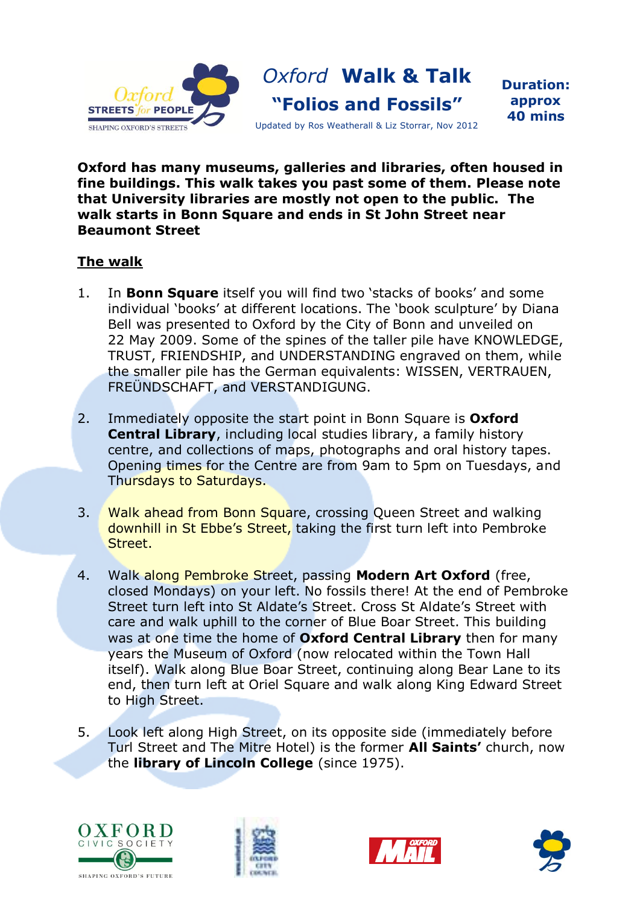

## **Oxford has many museums, galleries and libraries, often housed in fine buildings. This walk takes you past some of them. Please note that University libraries are mostly not open to the public. The walk starts in Bonn Square and ends in St John Street near Beaumont Street**

## **The walk**

- 1. In **Bonn Square** itself you will find two 'stacks of books' and some individual 'books' at different locations. The 'book sculpture' by Diana Bell was presented to Oxford by the City of Bonn and unveiled on 22 May 2009. Some of the spines of the taller pile have KNOWLEDGE, TRUST, FRIENDSHIP, and UNDERSTANDING engraved on them, while the smaller pile has the German equivalents: WISSEN, VERTRAUEN, FREÜNDSCHAFT, and VERSTANDIGUNG.
- 2. Immediately opposite the start point in Bonn Square is **Oxford Central Library**, including local studies library, a family history centre, and collections of maps, photographs and oral history tapes. Opening times for the Centre are from 9am to 5pm on Tuesdays, and Thursdays to Saturdays.
- 3. Walk ahead from Bonn Square, crossing Queen Street and walking downhill in St Ebbe's Street, taking the first turn left into Pembroke Street.
- 4. Walk along Pembroke Street, passing **Modern Art Oxford** (free, closed Mondays) on your left. No fossils there! At the end of Pembroke Street turn left into St Aldate's Street. Cross St Aldate's Street with care and walk uphill to the corner of Blue Boar Street. This building was at one time the home of **Oxford Central Library** then for many years the Museum of Oxford (now relocated within the Town Hall itself). Walk along Blue Boar Street, continuing along Bear Lane to its end, then turn left at Oriel Square and walk along King Edward Street to High Street.
- 5. Look left along High Street, on its opposite side (immediately before Turl Street and The Mitre Hotel) is the former **All Saints'** church, now the **library of Lincoln College** (since 1975).